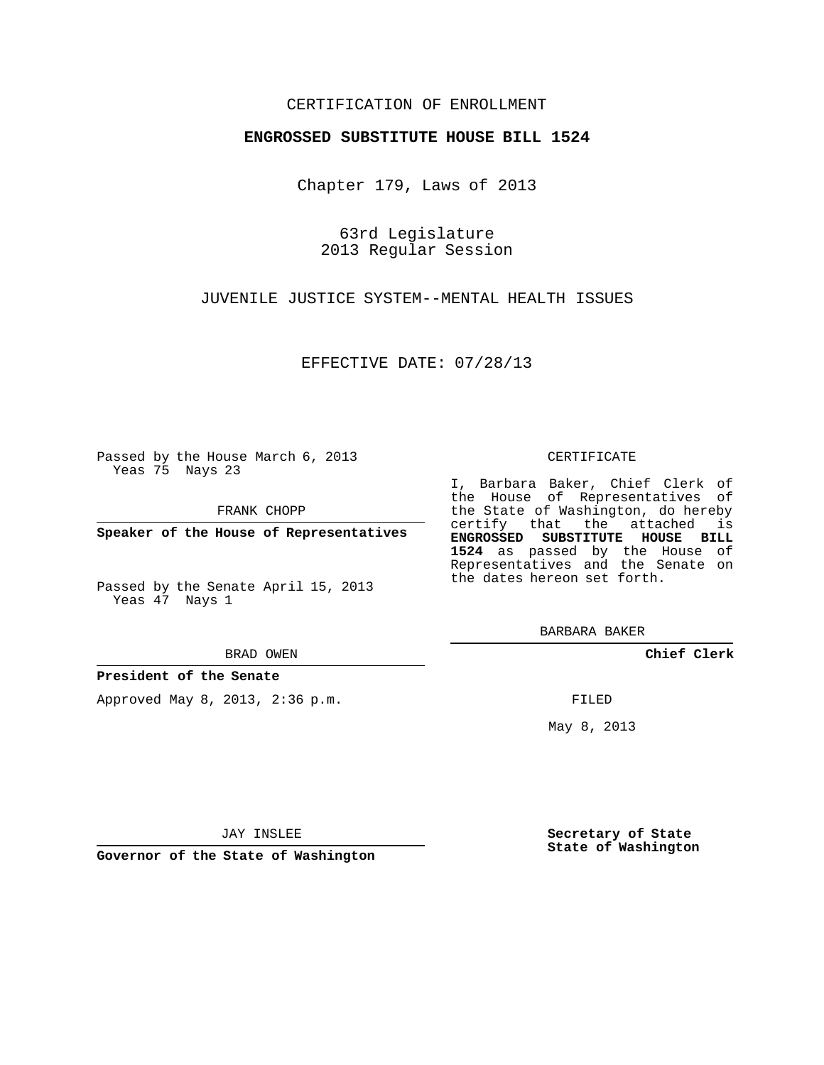## CERTIFICATION OF ENROLLMENT

### **ENGROSSED SUBSTITUTE HOUSE BILL 1524**

Chapter 179, Laws of 2013

63rd Legislature 2013 Regular Session

JUVENILE JUSTICE SYSTEM--MENTAL HEALTH ISSUES

EFFECTIVE DATE: 07/28/13

Passed by the House March 6, 2013 Yeas 75 Nays 23

FRANK CHOPP

**Speaker of the House of Representatives**

Passed by the Senate April 15, 2013 Yeas 47 Nays 1

#### BRAD OWEN

### **President of the Senate**

Approved May 8, 2013, 2:36 p.m.

#### CERTIFICATE

I, Barbara Baker, Chief Clerk of the House of Representatives of the State of Washington, do hereby certify that the attached is **ENGROSSED SUBSTITUTE HOUSE BILL 1524** as passed by the House of Representatives and the Senate on the dates hereon set forth.

BARBARA BAKER

**Chief Clerk**

FILED

May 8, 2013

**Secretary of State State of Washington**

JAY INSLEE

**Governor of the State of Washington**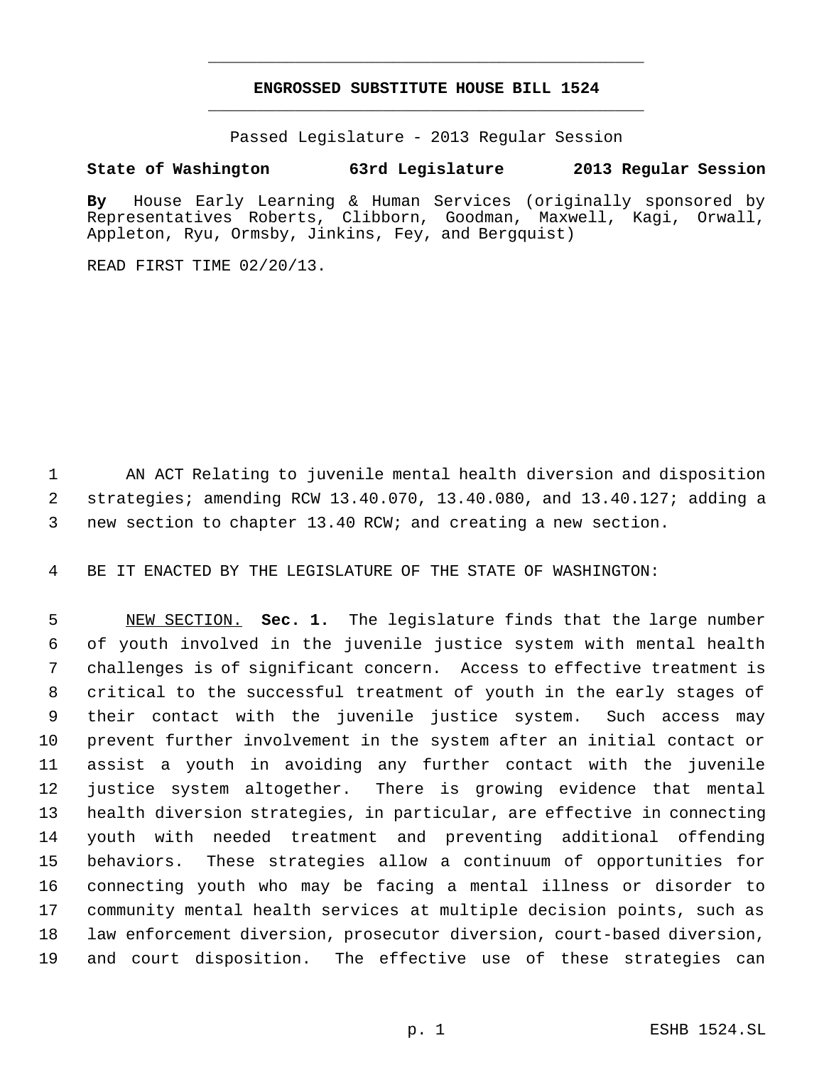# **ENGROSSED SUBSTITUTE HOUSE BILL 1524** \_\_\_\_\_\_\_\_\_\_\_\_\_\_\_\_\_\_\_\_\_\_\_\_\_\_\_\_\_\_\_\_\_\_\_\_\_\_\_\_\_\_\_\_\_

\_\_\_\_\_\_\_\_\_\_\_\_\_\_\_\_\_\_\_\_\_\_\_\_\_\_\_\_\_\_\_\_\_\_\_\_\_\_\_\_\_\_\_\_\_

Passed Legislature - 2013 Regular Session

# **State of Washington 63rd Legislature 2013 Regular Session**

**By** House Early Learning & Human Services (originally sponsored by Representatives Roberts, Clibborn, Goodman, Maxwell, Kagi, Orwall, Appleton, Ryu, Ormsby, Jinkins, Fey, and Bergquist)

READ FIRST TIME 02/20/13.

 AN ACT Relating to juvenile mental health diversion and disposition strategies; amending RCW 13.40.070, 13.40.080, and 13.40.127; adding a new section to chapter 13.40 RCW; and creating a new section.

BE IT ENACTED BY THE LEGISLATURE OF THE STATE OF WASHINGTON:

 NEW SECTION. **Sec. 1.** The legislature finds that the large number of youth involved in the juvenile justice system with mental health challenges is of significant concern. Access to effective treatment is critical to the successful treatment of youth in the early stages of their contact with the juvenile justice system. Such access may prevent further involvement in the system after an initial contact or assist a youth in avoiding any further contact with the juvenile justice system altogether. There is growing evidence that mental health diversion strategies, in particular, are effective in connecting youth with needed treatment and preventing additional offending behaviors. These strategies allow a continuum of opportunities for connecting youth who may be facing a mental illness or disorder to community mental health services at multiple decision points, such as law enforcement diversion, prosecutor diversion, court-based diversion, and court disposition. The effective use of these strategies can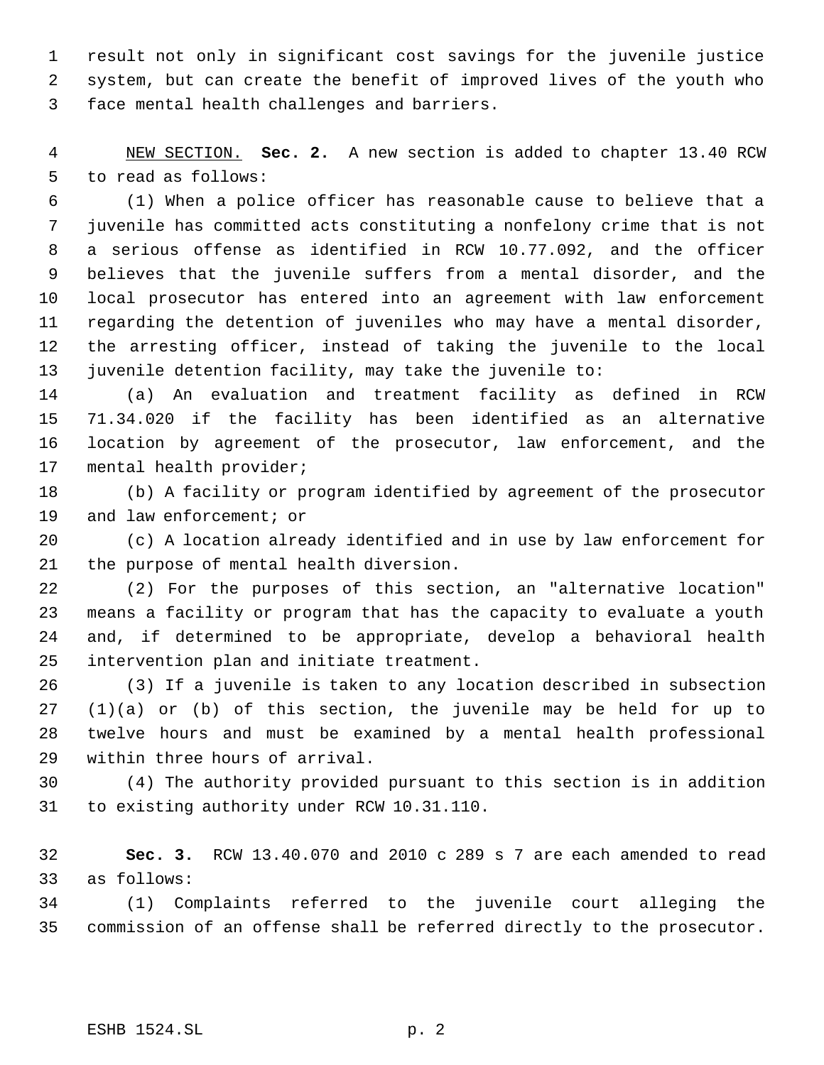result not only in significant cost savings for the juvenile justice system, but can create the benefit of improved lives of the youth who face mental health challenges and barriers.

 NEW SECTION. **Sec. 2.** A new section is added to chapter 13.40 RCW to read as follows:

 (1) When a police officer has reasonable cause to believe that a juvenile has committed acts constituting a nonfelony crime that is not a serious offense as identified in RCW 10.77.092, and the officer believes that the juvenile suffers from a mental disorder, and the local prosecutor has entered into an agreement with law enforcement regarding the detention of juveniles who may have a mental disorder, the arresting officer, instead of taking the juvenile to the local juvenile detention facility, may take the juvenile to:

 (a) An evaluation and treatment facility as defined in RCW 71.34.020 if the facility has been identified as an alternative location by agreement of the prosecutor, law enforcement, and the mental health provider;

 (b) A facility or program identified by agreement of the prosecutor and law enforcement; or

 (c) A location already identified and in use by law enforcement for the purpose of mental health diversion.

 (2) For the purposes of this section, an "alternative location" means a facility or program that has the capacity to evaluate a youth and, if determined to be appropriate, develop a behavioral health intervention plan and initiate treatment.

 (3) If a juvenile is taken to any location described in subsection (1)(a) or (b) of this section, the juvenile may be held for up to twelve hours and must be examined by a mental health professional within three hours of arrival.

 (4) The authority provided pursuant to this section is in addition to existing authority under RCW 10.31.110.

 **Sec. 3.** RCW 13.40.070 and 2010 c 289 s 7 are each amended to read as follows:

 (1) Complaints referred to the juvenile court alleging the commission of an offense shall be referred directly to the prosecutor.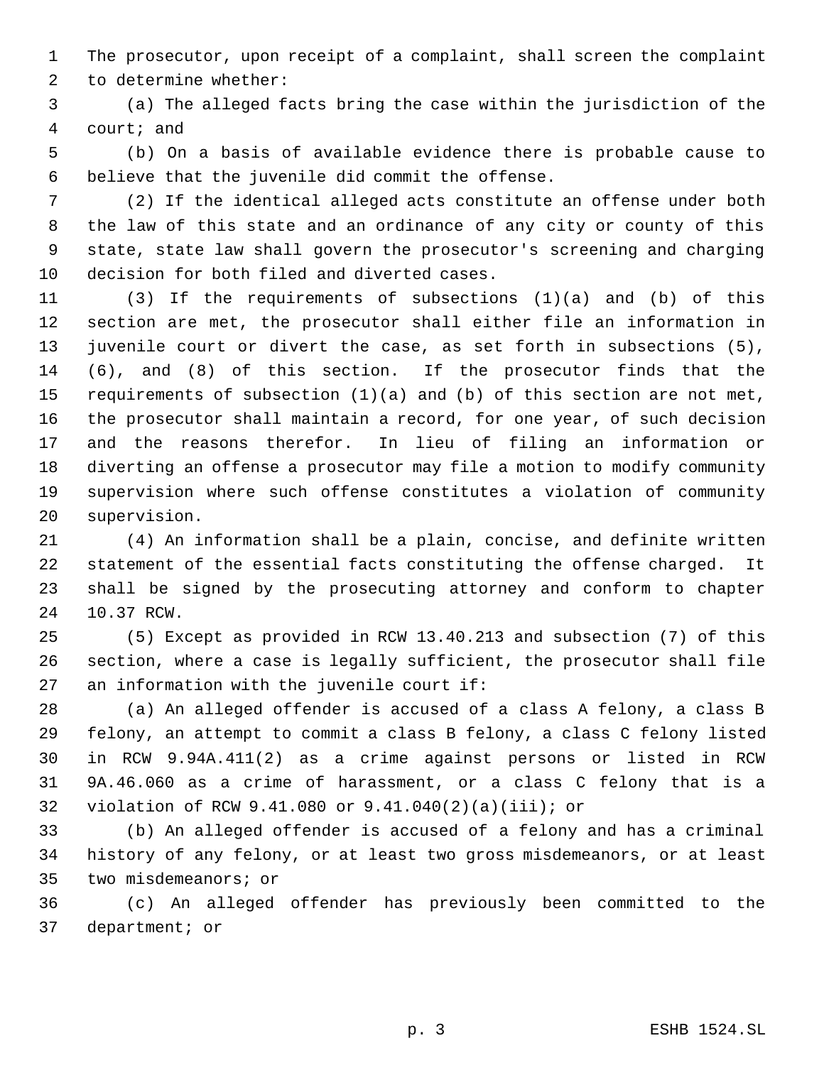The prosecutor, upon receipt of a complaint, shall screen the complaint to determine whether:

 (a) The alleged facts bring the case within the jurisdiction of the court; and

 (b) On a basis of available evidence there is probable cause to believe that the juvenile did commit the offense.

 (2) If the identical alleged acts constitute an offense under both the law of this state and an ordinance of any city or county of this state, state law shall govern the prosecutor's screening and charging decision for both filed and diverted cases.

 (3) If the requirements of subsections (1)(a) and (b) of this section are met, the prosecutor shall either file an information in juvenile court or divert the case, as set forth in subsections (5), (6), and (8) of this section. If the prosecutor finds that the requirements of subsection (1)(a) and (b) of this section are not met, the prosecutor shall maintain a record, for one year, of such decision and the reasons therefor. In lieu of filing an information or diverting an offense a prosecutor may file a motion to modify community supervision where such offense constitutes a violation of community supervision.

 (4) An information shall be a plain, concise, and definite written statement of the essential facts constituting the offense charged. It shall be signed by the prosecuting attorney and conform to chapter 10.37 RCW.

 (5) Except as provided in RCW 13.40.213 and subsection (7) of this section, where a case is legally sufficient, the prosecutor shall file an information with the juvenile court if:

 (a) An alleged offender is accused of a class A felony, a class B felony, an attempt to commit a class B felony, a class C felony listed in RCW 9.94A.411(2) as a crime against persons or listed in RCW 9A.46.060 as a crime of harassment, or a class C felony that is a violation of RCW 9.41.080 or 9.41.040(2)(a)(iii); or

 (b) An alleged offender is accused of a felony and has a criminal history of any felony, or at least two gross misdemeanors, or at least two misdemeanors; or

 (c) An alleged offender has previously been committed to the department; or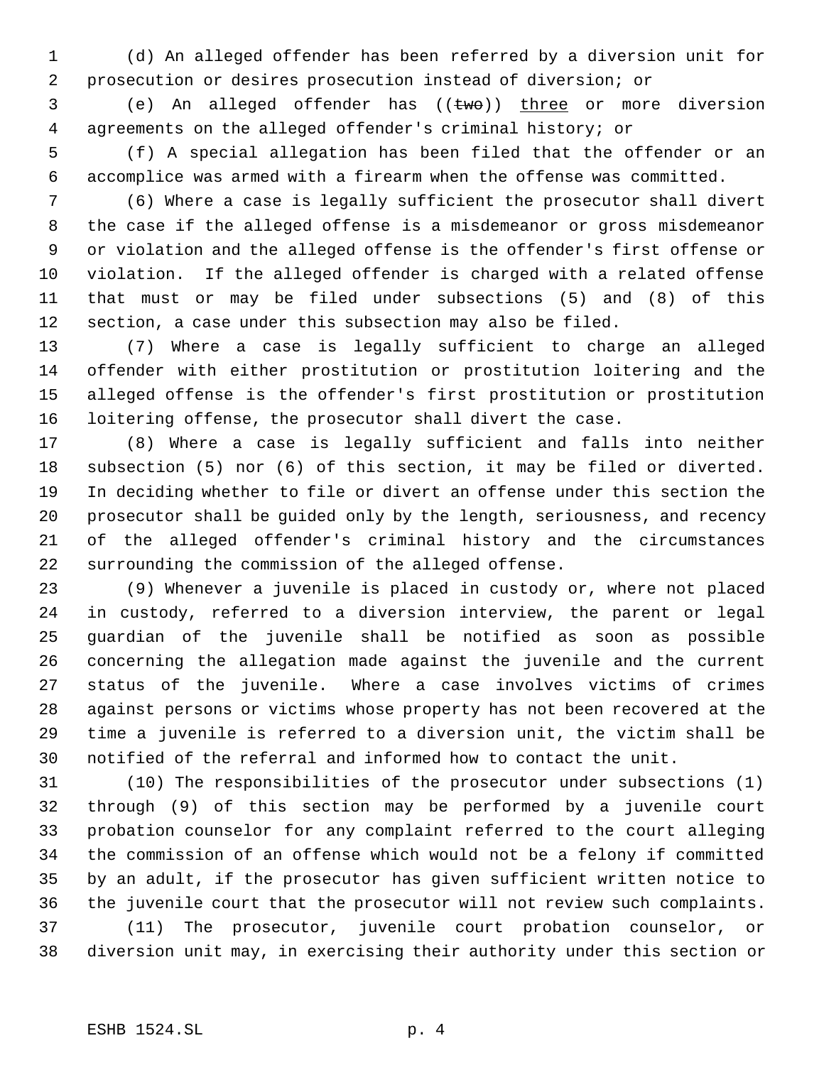(d) An alleged offender has been referred by a diversion unit for prosecution or desires prosecution instead of diversion; or

3 (e) An alleged offender has ((two)) three or more diversion agreements on the alleged offender's criminal history; or

 (f) A special allegation has been filed that the offender or an accomplice was armed with a firearm when the offense was committed.

 (6) Where a case is legally sufficient the prosecutor shall divert the case if the alleged offense is a misdemeanor or gross misdemeanor or violation and the alleged offense is the offender's first offense or violation. If the alleged offender is charged with a related offense that must or may be filed under subsections (5) and (8) of this section, a case under this subsection may also be filed.

 (7) Where a case is legally sufficient to charge an alleged offender with either prostitution or prostitution loitering and the alleged offense is the offender's first prostitution or prostitution loitering offense, the prosecutor shall divert the case.

 (8) Where a case is legally sufficient and falls into neither subsection (5) nor (6) of this section, it may be filed or diverted. In deciding whether to file or divert an offense under this section the prosecutor shall be guided only by the length, seriousness, and recency of the alleged offender's criminal history and the circumstances surrounding the commission of the alleged offense.

 (9) Whenever a juvenile is placed in custody or, where not placed in custody, referred to a diversion interview, the parent or legal guardian of the juvenile shall be notified as soon as possible concerning the allegation made against the juvenile and the current status of the juvenile. Where a case involves victims of crimes against persons or victims whose property has not been recovered at the time a juvenile is referred to a diversion unit, the victim shall be notified of the referral and informed how to contact the unit.

 (10) The responsibilities of the prosecutor under subsections (1) through (9) of this section may be performed by a juvenile court probation counselor for any complaint referred to the court alleging the commission of an offense which would not be a felony if committed by an adult, if the prosecutor has given sufficient written notice to the juvenile court that the prosecutor will not review such complaints. (11) The prosecutor, juvenile court probation counselor, or diversion unit may, in exercising their authority under this section or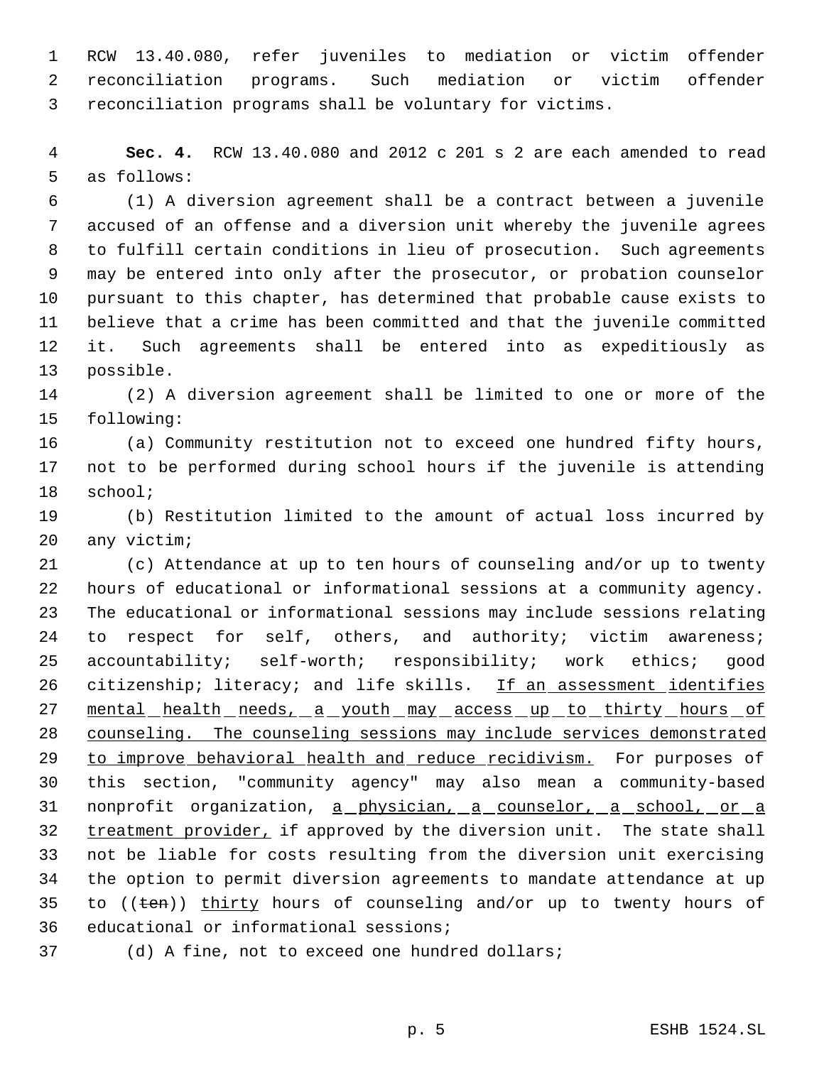RCW 13.40.080, refer juveniles to mediation or victim offender reconciliation programs. Such mediation or victim offender reconciliation programs shall be voluntary for victims.

 **Sec. 4.** RCW 13.40.080 and 2012 c 201 s 2 are each amended to read as follows:

 (1) A diversion agreement shall be a contract between a juvenile accused of an offense and a diversion unit whereby the juvenile agrees to fulfill certain conditions in lieu of prosecution. Such agreements may be entered into only after the prosecutor, or probation counselor pursuant to this chapter, has determined that probable cause exists to believe that a crime has been committed and that the juvenile committed it. Such agreements shall be entered into as expeditiously as possible.

 (2) A diversion agreement shall be limited to one or more of the following:

 (a) Community restitution not to exceed one hundred fifty hours, not to be performed during school hours if the juvenile is attending school;

 (b) Restitution limited to the amount of actual loss incurred by any victim;

 (c) Attendance at up to ten hours of counseling and/or up to twenty hours of educational or informational sessions at a community agency. The educational or informational sessions may include sessions relating 24 to respect for self, others, and authority; victim awareness; accountability; self-worth; responsibility; work ethics; good 26 citizenship; literacy; and life skills. If an assessment identifies 27 mental health needs, a youth may access up to thirty hours of counseling. The counseling sessions may include services demonstrated 29 to improve behavioral health and reduce recidivism. For purposes of this section, "community agency" may also mean a community-based 31 nonprofit organization, a physician, a counselor, a school, or a 32 treatment provider, if approved by the diversion unit. The state shall not be liable for costs resulting from the diversion unit exercising the option to permit diversion agreements to mandate attendance at up 35 to  $((ten))$  thirty hours of counseling and/or up to twenty hours of educational or informational sessions;

(d) A fine, not to exceed one hundred dollars;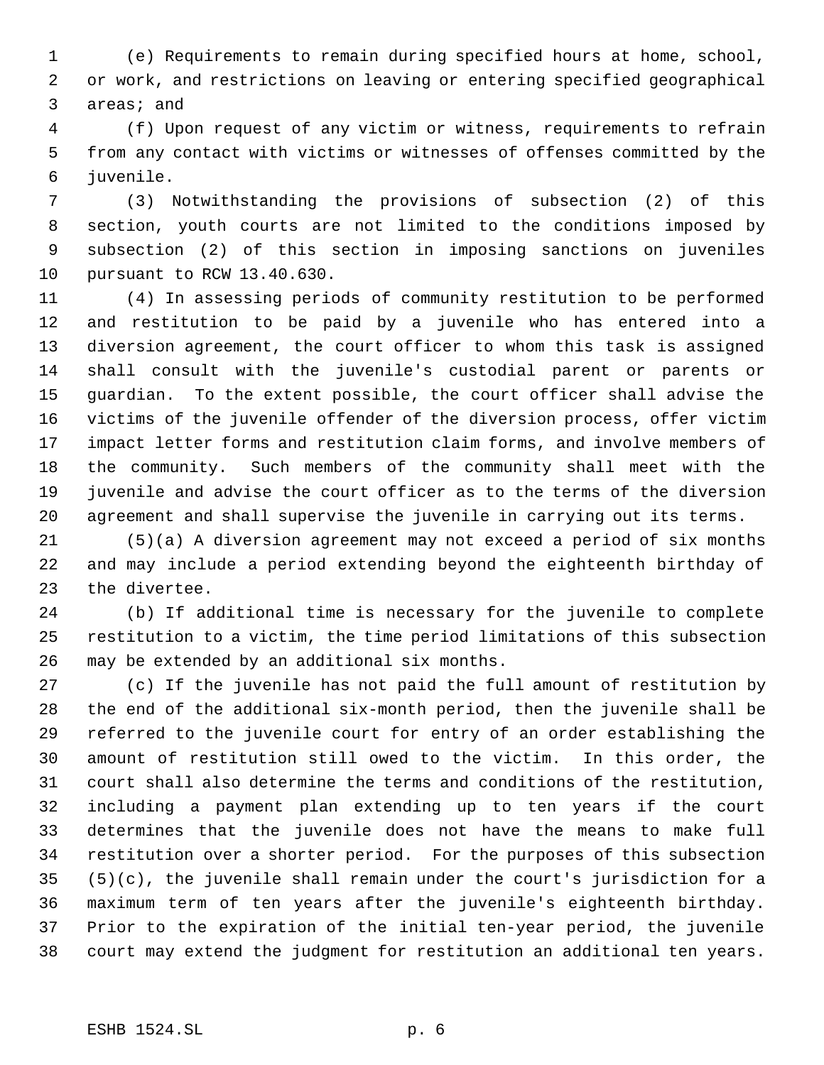(e) Requirements to remain during specified hours at home, school, or work, and restrictions on leaving or entering specified geographical areas; and

 (f) Upon request of any victim or witness, requirements to refrain from any contact with victims or witnesses of offenses committed by the juvenile.

 (3) Notwithstanding the provisions of subsection (2) of this section, youth courts are not limited to the conditions imposed by subsection (2) of this section in imposing sanctions on juveniles pursuant to RCW 13.40.630.

 (4) In assessing periods of community restitution to be performed and restitution to be paid by a juvenile who has entered into a diversion agreement, the court officer to whom this task is assigned shall consult with the juvenile's custodial parent or parents or guardian. To the extent possible, the court officer shall advise the victims of the juvenile offender of the diversion process, offer victim impact letter forms and restitution claim forms, and involve members of the community. Such members of the community shall meet with the juvenile and advise the court officer as to the terms of the diversion agreement and shall supervise the juvenile in carrying out its terms.

 (5)(a) A diversion agreement may not exceed a period of six months and may include a period extending beyond the eighteenth birthday of the divertee.

 (b) If additional time is necessary for the juvenile to complete restitution to a victim, the time period limitations of this subsection may be extended by an additional six months.

 (c) If the juvenile has not paid the full amount of restitution by the end of the additional six-month period, then the juvenile shall be referred to the juvenile court for entry of an order establishing the amount of restitution still owed to the victim. In this order, the court shall also determine the terms and conditions of the restitution, including a payment plan extending up to ten years if the court determines that the juvenile does not have the means to make full restitution over a shorter period. For the purposes of this subsection (5)(c), the juvenile shall remain under the court's jurisdiction for a maximum term of ten years after the juvenile's eighteenth birthday. Prior to the expiration of the initial ten-year period, the juvenile court may extend the judgment for restitution an additional ten years.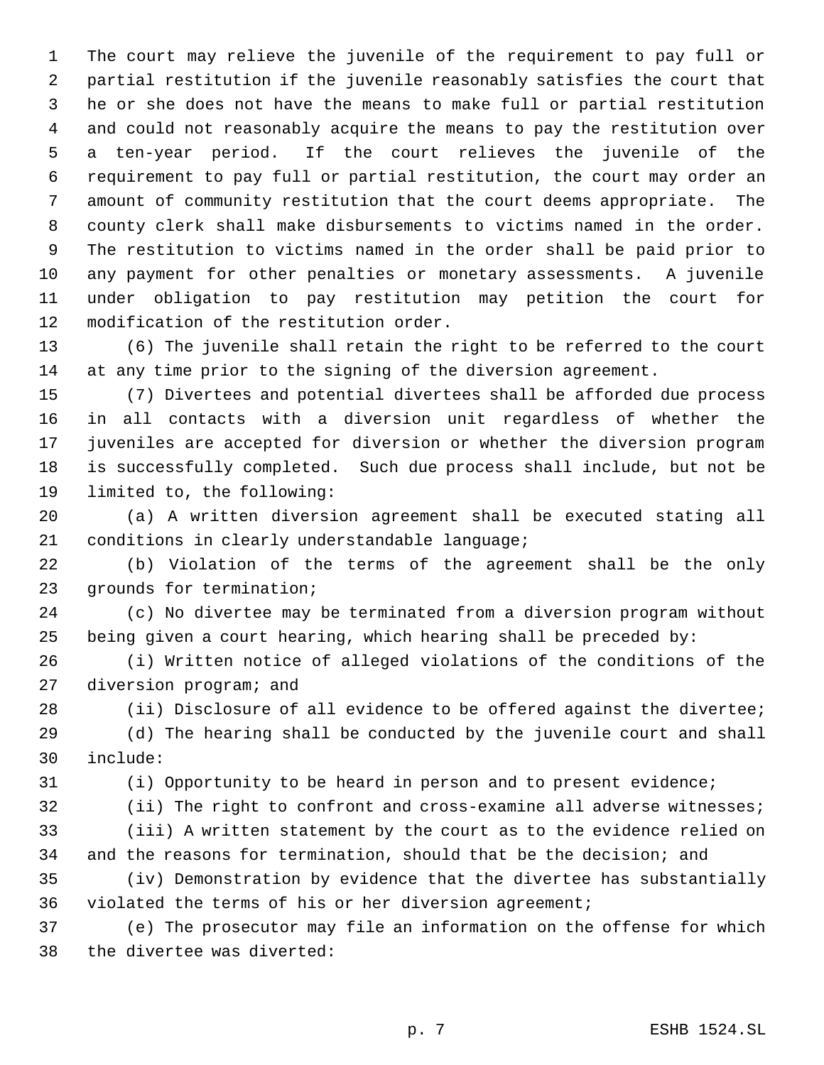The court may relieve the juvenile of the requirement to pay full or partial restitution if the juvenile reasonably satisfies the court that he or she does not have the means to make full or partial restitution and could not reasonably acquire the means to pay the restitution over a ten-year period. If the court relieves the juvenile of the requirement to pay full or partial restitution, the court may order an amount of community restitution that the court deems appropriate. The county clerk shall make disbursements to victims named in the order. The restitution to victims named in the order shall be paid prior to any payment for other penalties or monetary assessments. A juvenile under obligation to pay restitution may petition the court for modification of the restitution order.

 (6) The juvenile shall retain the right to be referred to the court at any time prior to the signing of the diversion agreement.

 (7) Divertees and potential divertees shall be afforded due process in all contacts with a diversion unit regardless of whether the juveniles are accepted for diversion or whether the diversion program is successfully completed. Such due process shall include, but not be limited to, the following:

 (a) A written diversion agreement shall be executed stating all conditions in clearly understandable language;

 (b) Violation of the terms of the agreement shall be the only grounds for termination;

 (c) No divertee may be terminated from a diversion program without being given a court hearing, which hearing shall be preceded by:

 (i) Written notice of alleged violations of the conditions of the diversion program; and

28 (ii) Disclosure of all evidence to be offered against the divertee; (d) The hearing shall be conducted by the juvenile court and shall include:

(i) Opportunity to be heard in person and to present evidence;

(ii) The right to confront and cross-examine all adverse witnesses;

 (iii) A written statement by the court as to the evidence relied on and the reasons for termination, should that be the decision; and

 (iv) Demonstration by evidence that the divertee has substantially violated the terms of his or her diversion agreement;

 (e) The prosecutor may file an information on the offense for which the divertee was diverted: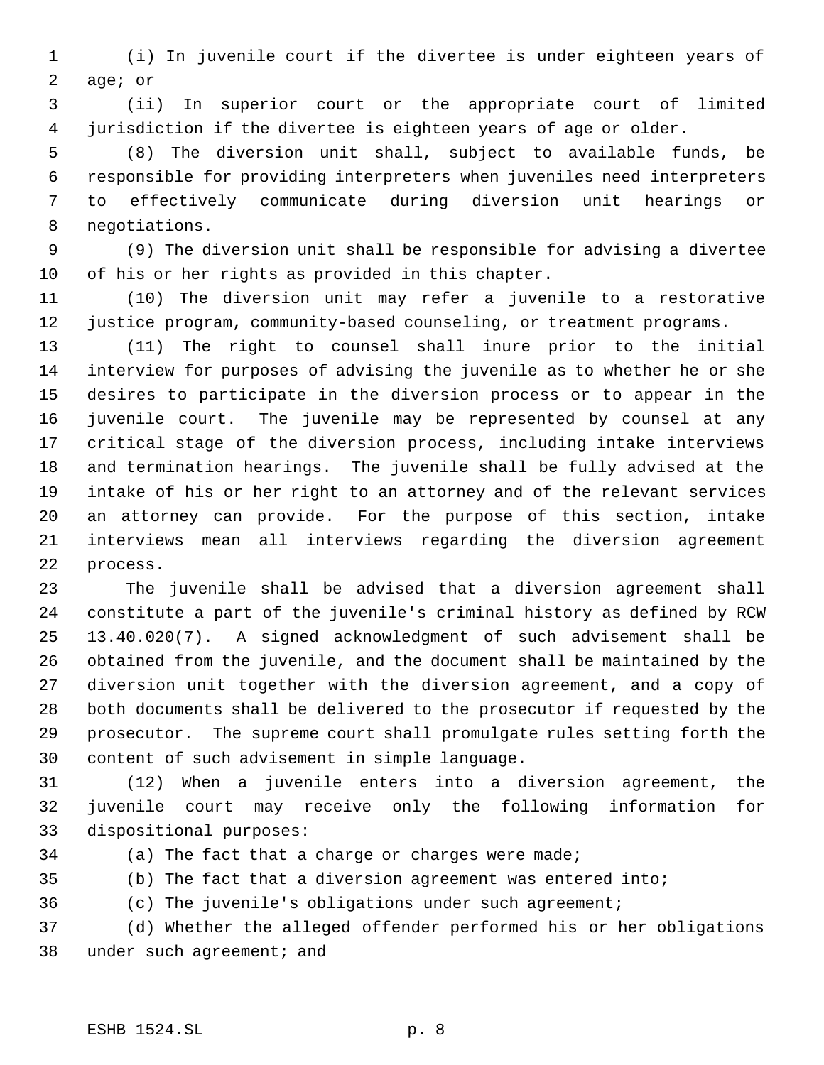(i) In juvenile court if the divertee is under eighteen years of age; or

 (ii) In superior court or the appropriate court of limited jurisdiction if the divertee is eighteen years of age or older.

 (8) The diversion unit shall, subject to available funds, be responsible for providing interpreters when juveniles need interpreters to effectively communicate during diversion unit hearings or negotiations.

 (9) The diversion unit shall be responsible for advising a divertee of his or her rights as provided in this chapter.

 (10) The diversion unit may refer a juvenile to a restorative justice program, community-based counseling, or treatment programs.

 (11) The right to counsel shall inure prior to the initial interview for purposes of advising the juvenile as to whether he or she desires to participate in the diversion process or to appear in the juvenile court. The juvenile may be represented by counsel at any critical stage of the diversion process, including intake interviews and termination hearings. The juvenile shall be fully advised at the intake of his or her right to an attorney and of the relevant services an attorney can provide. For the purpose of this section, intake interviews mean all interviews regarding the diversion agreement process.

 The juvenile shall be advised that a diversion agreement shall constitute a part of the juvenile's criminal history as defined by RCW 13.40.020(7). A signed acknowledgment of such advisement shall be obtained from the juvenile, and the document shall be maintained by the diversion unit together with the diversion agreement, and a copy of both documents shall be delivered to the prosecutor if requested by the prosecutor. The supreme court shall promulgate rules setting forth the content of such advisement in simple language.

 (12) When a juvenile enters into a diversion agreement, the juvenile court may receive only the following information for dispositional purposes:

(a) The fact that a charge or charges were made;

(b) The fact that a diversion agreement was entered into;

(c) The juvenile's obligations under such agreement;

 (d) Whether the alleged offender performed his or her obligations under such agreement; and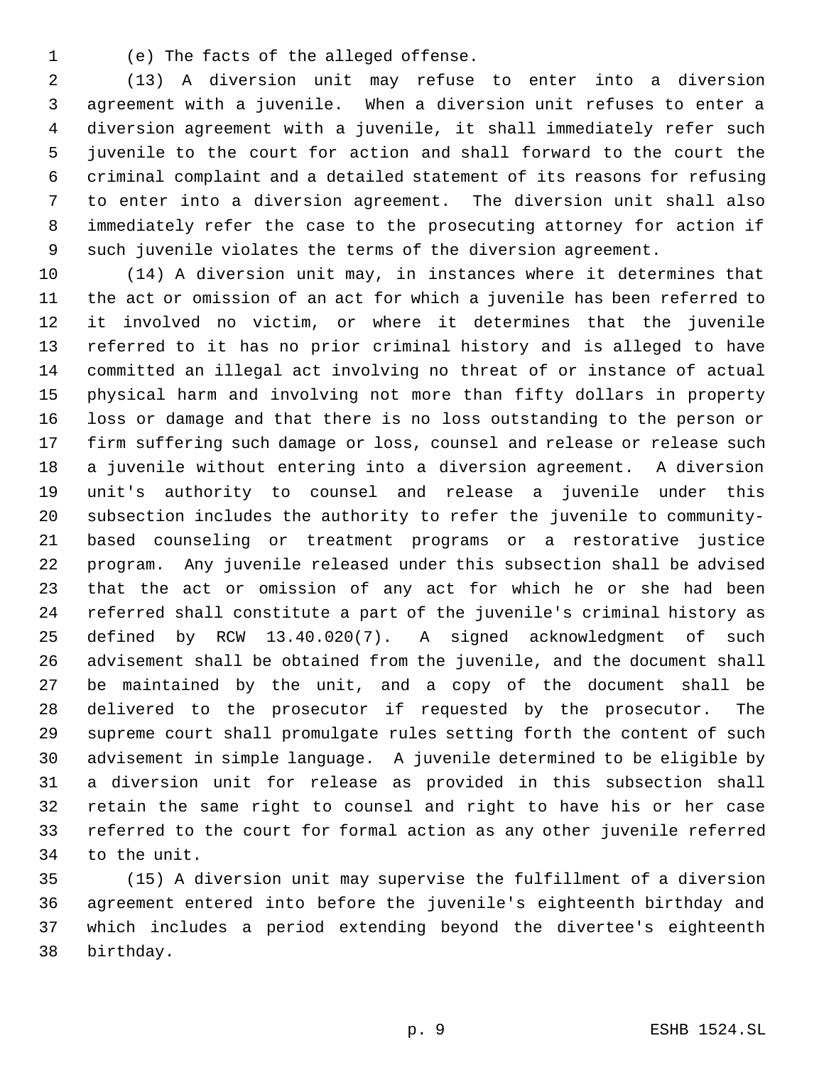(e) The facts of the alleged offense.

 (13) A diversion unit may refuse to enter into a diversion agreement with a juvenile. When a diversion unit refuses to enter a diversion agreement with a juvenile, it shall immediately refer such juvenile to the court for action and shall forward to the court the criminal complaint and a detailed statement of its reasons for refusing to enter into a diversion agreement. The diversion unit shall also immediately refer the case to the prosecuting attorney for action if such juvenile violates the terms of the diversion agreement.

 (14) A diversion unit may, in instances where it determines that the act or omission of an act for which a juvenile has been referred to it involved no victim, or where it determines that the juvenile referred to it has no prior criminal history and is alleged to have committed an illegal act involving no threat of or instance of actual physical harm and involving not more than fifty dollars in property loss or damage and that there is no loss outstanding to the person or firm suffering such damage or loss, counsel and release or release such a juvenile without entering into a diversion agreement. A diversion unit's authority to counsel and release a juvenile under this subsection includes the authority to refer the juvenile to community- based counseling or treatment programs or a restorative justice program. Any juvenile released under this subsection shall be advised that the act or omission of any act for which he or she had been referred shall constitute a part of the juvenile's criminal history as defined by RCW 13.40.020(7). A signed acknowledgment of such advisement shall be obtained from the juvenile, and the document shall be maintained by the unit, and a copy of the document shall be delivered to the prosecutor if requested by the prosecutor. The supreme court shall promulgate rules setting forth the content of such advisement in simple language. A juvenile determined to be eligible by a diversion unit for release as provided in this subsection shall retain the same right to counsel and right to have his or her case referred to the court for formal action as any other juvenile referred to the unit.

 (15) A diversion unit may supervise the fulfillment of a diversion agreement entered into before the juvenile's eighteenth birthday and which includes a period extending beyond the divertee's eighteenth birthday.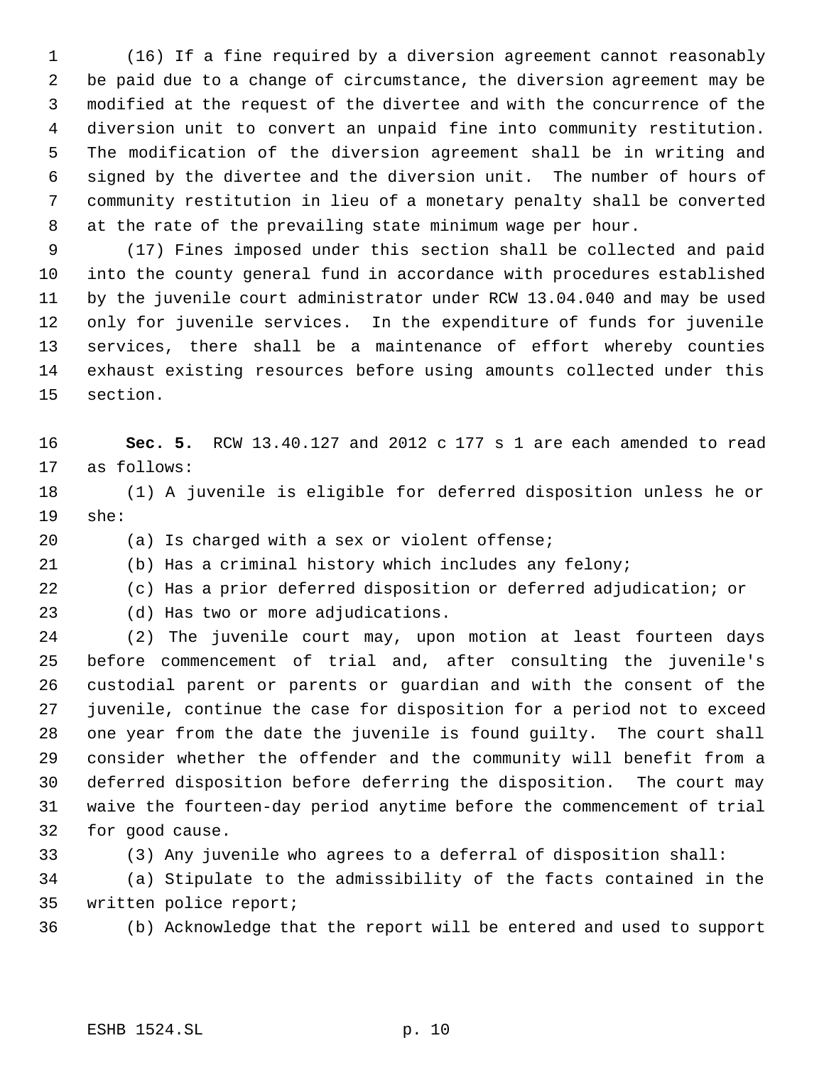(16) If a fine required by a diversion agreement cannot reasonably be paid due to a change of circumstance, the diversion agreement may be modified at the request of the divertee and with the concurrence of the diversion unit to convert an unpaid fine into community restitution. The modification of the diversion agreement shall be in writing and signed by the divertee and the diversion unit. The number of hours of community restitution in lieu of a monetary penalty shall be converted at the rate of the prevailing state minimum wage per hour.

 (17) Fines imposed under this section shall be collected and paid into the county general fund in accordance with procedures established by the juvenile court administrator under RCW 13.04.040 and may be used only for juvenile services. In the expenditure of funds for juvenile services, there shall be a maintenance of effort whereby counties exhaust existing resources before using amounts collected under this section.

 **Sec. 5.** RCW 13.40.127 and 2012 c 177 s 1 are each amended to read as follows:

 (1) A juvenile is eligible for deferred disposition unless he or she:

(a) Is charged with a sex or violent offense;

(b) Has a criminal history which includes any felony;

(c) Has a prior deferred disposition or deferred adjudication; or

(d) Has two or more adjudications.

 (2) The juvenile court may, upon motion at least fourteen days before commencement of trial and, after consulting the juvenile's custodial parent or parents or guardian and with the consent of the juvenile, continue the case for disposition for a period not to exceed one year from the date the juvenile is found guilty. The court shall consider whether the offender and the community will benefit from a deferred disposition before deferring the disposition. The court may waive the fourteen-day period anytime before the commencement of trial for good cause.

(3) Any juvenile who agrees to a deferral of disposition shall:

 (a) Stipulate to the admissibility of the facts contained in the written police report;

(b) Acknowledge that the report will be entered and used to support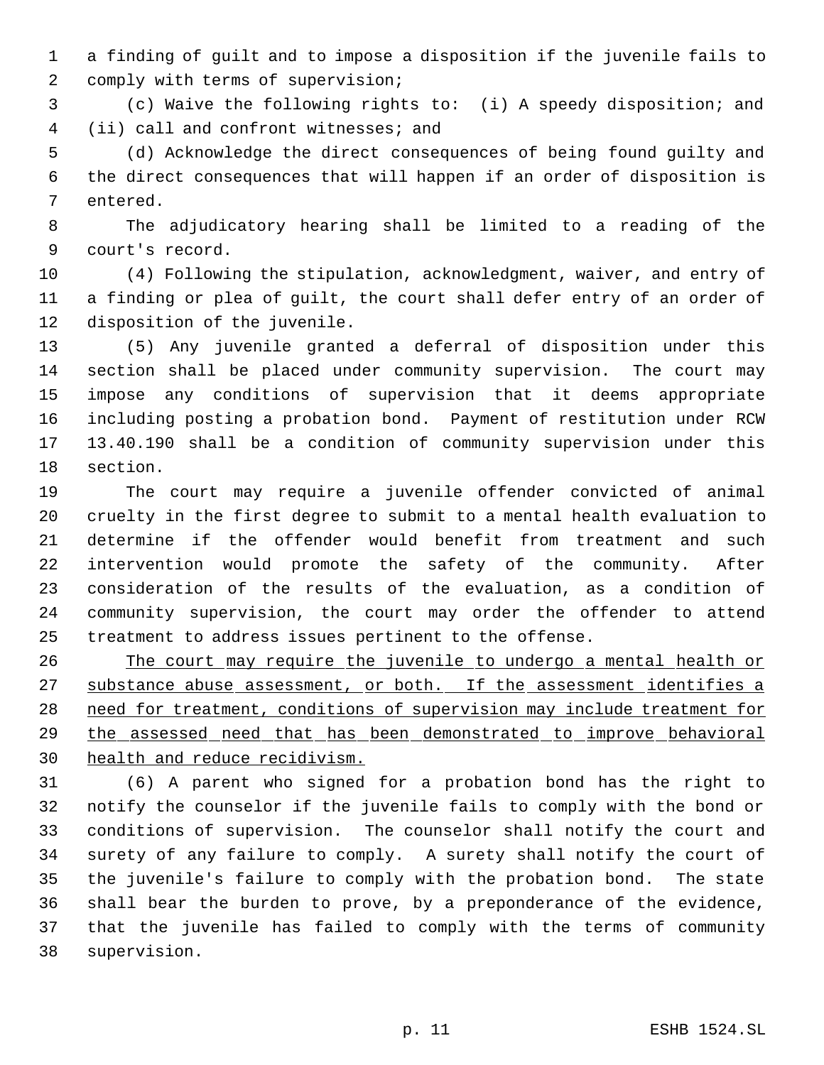a finding of guilt and to impose a disposition if the juvenile fails to comply with terms of supervision;

 (c) Waive the following rights to: (i) A speedy disposition; and (ii) call and confront witnesses; and

 (d) Acknowledge the direct consequences of being found guilty and the direct consequences that will happen if an order of disposition is entered.

 The adjudicatory hearing shall be limited to a reading of the court's record.

 (4) Following the stipulation, acknowledgment, waiver, and entry of a finding or plea of guilt, the court shall defer entry of an order of disposition of the juvenile.

 (5) Any juvenile granted a deferral of disposition under this section shall be placed under community supervision. The court may impose any conditions of supervision that it deems appropriate including posting a probation bond. Payment of restitution under RCW 13.40.190 shall be a condition of community supervision under this section.

 The court may require a juvenile offender convicted of animal cruelty in the first degree to submit to a mental health evaluation to determine if the offender would benefit from treatment and such intervention would promote the safety of the community. After consideration of the results of the evaluation, as a condition of community supervision, the court may order the offender to attend treatment to address issues pertinent to the offense.

26 The court may require the juvenile to undergo a mental health or 27 substance abuse assessment, or both. If the assessment identifies a need for treatment, conditions of supervision may include treatment for the assessed need that has been demonstrated to improve behavioral health and reduce recidivism.

 (6) A parent who signed for a probation bond has the right to notify the counselor if the juvenile fails to comply with the bond or conditions of supervision. The counselor shall notify the court and surety of any failure to comply. A surety shall notify the court of the juvenile's failure to comply with the probation bond. The state shall bear the burden to prove, by a preponderance of the evidence, that the juvenile has failed to comply with the terms of community supervision.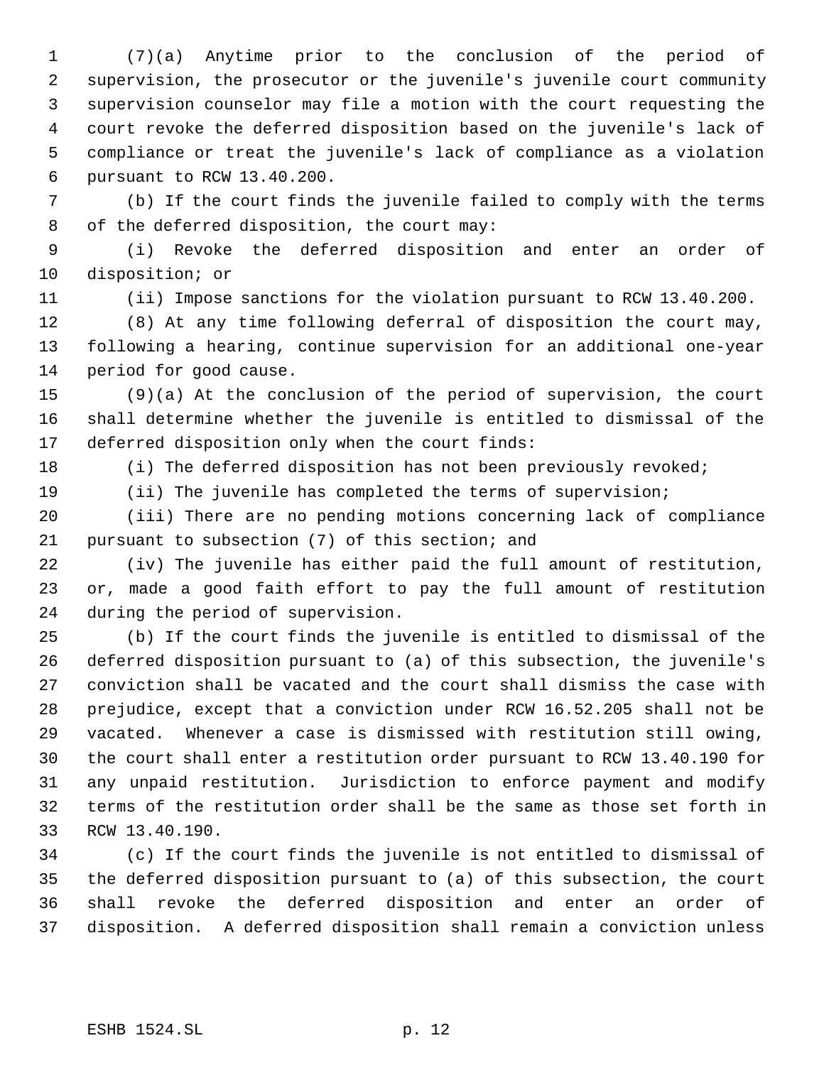(7)(a) Anytime prior to the conclusion of the period of supervision, the prosecutor or the juvenile's juvenile court community supervision counselor may file a motion with the court requesting the court revoke the deferred disposition based on the juvenile's lack of compliance or treat the juvenile's lack of compliance as a violation pursuant to RCW 13.40.200.

 (b) If the court finds the juvenile failed to comply with the terms of the deferred disposition, the court may:

 (i) Revoke the deferred disposition and enter an order of disposition; or

(ii) Impose sanctions for the violation pursuant to RCW 13.40.200.

 (8) At any time following deferral of disposition the court may, following a hearing, continue supervision for an additional one-year period for good cause.

 (9)(a) At the conclusion of the period of supervision, the court shall determine whether the juvenile is entitled to dismissal of the deferred disposition only when the court finds:

18 (i) The deferred disposition has not been previously revoked;

(ii) The juvenile has completed the terms of supervision;

 (iii) There are no pending motions concerning lack of compliance pursuant to subsection (7) of this section; and

 (iv) The juvenile has either paid the full amount of restitution, or, made a good faith effort to pay the full amount of restitution during the period of supervision.

 (b) If the court finds the juvenile is entitled to dismissal of the deferred disposition pursuant to (a) of this subsection, the juvenile's conviction shall be vacated and the court shall dismiss the case with prejudice, except that a conviction under RCW 16.52.205 shall not be vacated. Whenever a case is dismissed with restitution still owing, the court shall enter a restitution order pursuant to RCW 13.40.190 for any unpaid restitution. Jurisdiction to enforce payment and modify terms of the restitution order shall be the same as those set forth in RCW 13.40.190.

 (c) If the court finds the juvenile is not entitled to dismissal of the deferred disposition pursuant to (a) of this subsection, the court shall revoke the deferred disposition and enter an order of disposition. A deferred disposition shall remain a conviction unless